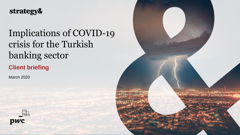# strategy&

# Implications of COVID-19 crisis for the Turkish banking sector

**Client briefing**

March 2020



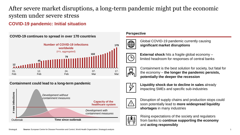# After severe market disruptions, a long-term pandemic might put the economic system under severe stress

### **COVID-19 pandemic: Initial situation**



### **Containment could lead to a long-term pandemic**



### **Perspective**



Global COVID-19 pandemic currently causing **significant market disruptions**



**External shock** hits a fragile global economy – limited headroom for responses of central banks



Containment is the best solution for society, but fatal for the economy – **the longer the pandemic persists, potentially the deeper the recession** 



**Liquidity shock due to decline in sales** already impacting SMEs and specific sub-industries



Disruption of supply chains and production stops could soon potentially lead to **more widespread liquidity shortages** in many industries



Rising expectations of the society and regulators from banks to **continue supporting the economy** and **acting responsibly**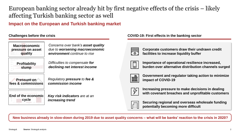# European banking sector already hit by first negative effects of the crisis – likely affecting Turkish banking sector as well

### **Impact on the European and Turkish banking market**



*Concerns over bank's asset quality due to worsening macroeconomic environment continue to rise*

*Difficulties to compensate for declining net interest income*

*Regulatory pressure to fee & commission income*

*Key risk indicators are at an increasing trend*

**Challenges before the crisis COVID-19: First effects in the banking sector**

**Corporate customers draw their undrawn credit facilities to increase liquidity buffer**

**Importance of operational resilience increased, burden over alternative distribution channels surged**



**Government and regulator taking action to minimize impact of COVID-19**



**Increasing pressure to make decisions in dealing with covenant breaches and unprofitable customers** 



**Securing regional and overseas wholesale funding potentially becoming more difficult**

**New business already in slow-down during 2019 due to asset quality concerns – what will be banks' reaction to the crisis in 2020?**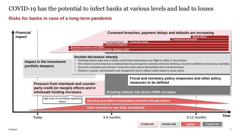### COVID-19 has the potential to infect banks at various levels and lead to losses

**Risks for banks in case of a long-term pandemic**

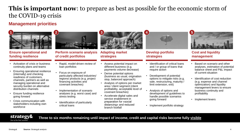# **This is important now**: to prepare as best as possible for the economic storm of the COVID-19 crisis

### **Management priorities**



### **Ensure operational and funding resilience**

- Activation of crisis or business continuity plans and teams
- Ensuring operational resilience (internally) and checking readiness of customers, channels, partners as well as managing operational and security burden on alternative distribution channels
- Ensure funding resilience going forward
- Crisis communication with stakeholders including own workforce



**Perform scenario analysis of credit portfolios**

- Rapid, model-driven review of loan portfolios
- Focus on exposure of particularly affected industries/ regions/ products (e.g. project financing activities and covenant breaches)
- Implementation of scenario analyses (e.g. worst case) and stress testing
- Identification of particularly critical loans



• Assess potential impact on different business (e.g. payments volume decrease)

(business as usual, origination stop, balanced approach) • Analysis of options per market area / client segment (client profitability, acceptable level of

• Derive potential options

covenant breaches)

branch footfall

• Accelerate digital sales and service enablement in preparation for «social distancing» and reduced

**Adapting market strategies**



**Develop portfolio strategies**



- Development of potential options to mitigate risks (e.g. sale, restructuring, maturity / limit extension, exit)
- Analysis of options and development of guidelines to handle possible scenarios going forward
- Implement portfolio strategy



**Cost and liquidity management**

- Based on scenario and other analyses, estimation of potential balance sheet and P&L impact of current situation
- Identification of cost reduction (e.g. expense and channel optimization) and liquidity management levers to ensure business continuity and profitability
- Implement levers

**Three to six months remaining until impact of income, credit and capital risks become fully visible**

strategy& Part of the PwC network